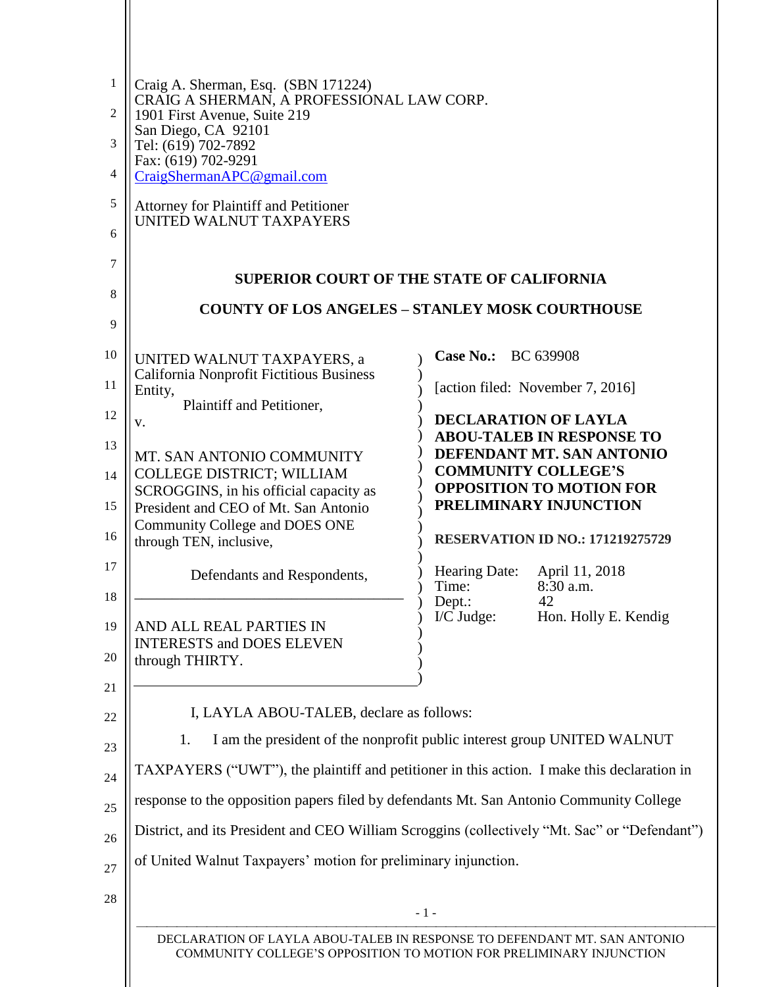| 1        | Craig A. Sherman, Esq. (SBN 171224)<br>CRAIG A SHERMAN, A PROFESSIONAL LAW CORP.                                                                |                                                                                         |  |
|----------|-------------------------------------------------------------------------------------------------------------------------------------------------|-----------------------------------------------------------------------------------------|--|
| 2        | 1901 First Avenue, Suite 219                                                                                                                    |                                                                                         |  |
| 3        | San Diego, CA 92101<br>Tel: (619) 702-7892                                                                                                      |                                                                                         |  |
| 4        | Fax: (619) 702-9291<br>CraigShermanAPC@gmail.com                                                                                                |                                                                                         |  |
| 5        | <b>Attorney for Plaintiff and Petitioner</b>                                                                                                    |                                                                                         |  |
| 6        | UNITED WALNUT TAXPAYERS                                                                                                                         |                                                                                         |  |
| 7        |                                                                                                                                                 | <b>SUPERIOR COURT OF THE STATE OF CALIFORNIA</b>                                        |  |
| 8        |                                                                                                                                                 |                                                                                         |  |
| 9        |                                                                                                                                                 | <b>COUNTY OF LOS ANGELES - STANLEY MOSK COURTHOUSE</b>                                  |  |
| 10       | UNITED WALNUT TAXPAYERS, a                                                                                                                      | Case No.: BC 639908                                                                     |  |
| 11       | <b>California Nonprofit Fictitious Business</b><br>Entity,<br>Plaintiff and Petitioner,                                                         | [action filed: November 7, 2016]                                                        |  |
| 12       | v.                                                                                                                                              | <b>DECLARATION OF LAYLA</b>                                                             |  |
| 13       | MT. SAN ANTONIO COMMUNITY                                                                                                                       | <b>ABOU-TALEB IN RESPONSE TO</b><br>DEFENDANT MT. SAN ANTONIO                           |  |
| 14       | <b>COLLEGE DISTRICT; WILLIAM</b><br>SCROGGINS, in his official capacity as                                                                      | <b>COMMUNITY COLLEGE'S</b><br><b>OPPOSITION TO MOTION FOR</b>                           |  |
| 15       | President and CEO of Mt. San Antonio                                                                                                            | PRELIMINARY INJUNCTION                                                                  |  |
| 16       | Community College and DOES ONE<br>through TEN, inclusive,                                                                                       | <b>RESERVATION ID NO.: 171219275729</b>                                                 |  |
| 17<br>18 | Defendants and Respondents,                                                                                                                     | Hearing Date:<br>April 11, 2018<br>Time:<br>$8:30$ a.m.                                 |  |
|          |                                                                                                                                                 | 42<br>Dept.:<br>$I/C$ Judge:<br>Hon. Holly E. Kendig                                    |  |
| 19<br>20 | AND ALL REAL PARTIES IN<br><b>INTERESTS and DOES ELEVEN</b>                                                                                     |                                                                                         |  |
|          | through THIRTY.                                                                                                                                 |                                                                                         |  |
| 21       | I, LAYLA ABOU-TALEB, declare as follows:                                                                                                        |                                                                                         |  |
| 22       | I am the president of the nonprofit public interest group UNITED WALNUT<br>1.                                                                   |                                                                                         |  |
| 23       | TAXPAYERS ("UWT"), the plaintiff and petitioner in this action. I make this declaration in                                                      |                                                                                         |  |
| 24<br>25 |                                                                                                                                                 | response to the opposition papers filed by defendants Mt. San Antonio Community College |  |
| 26       | District, and its President and CEO William Scroggins (collectively "Mt. Sac" or "Defendant")                                                   |                                                                                         |  |
| 27       | of United Walnut Taxpayers' motion for preliminary injunction.                                                                                  |                                                                                         |  |
|          |                                                                                                                                                 |                                                                                         |  |
| 28       | $-1-$                                                                                                                                           |                                                                                         |  |
|          | DECLARATION OF LAYLA ABOU-TALEB IN RESPONSE TO DEFENDANT MT. SAN ANTONIO<br>COMMUNITY COLLEGE'S OPPOSITION TO MOTION FOR PRELIMINARY INJUNCTION |                                                                                         |  |
|          |                                                                                                                                                 |                                                                                         |  |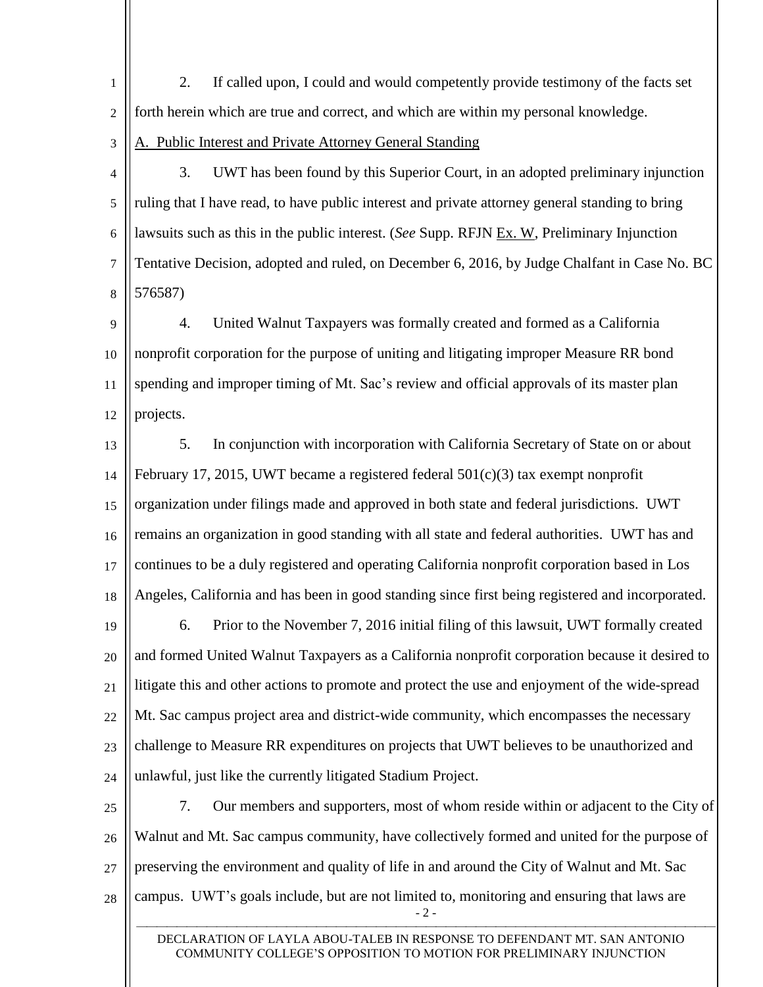1  $\overline{2}$ 2. If called upon, I could and would competently provide testimony of the facts set forth herein which are true and correct, and which are within my personal knowledge.

## 3 A. Public Interest and Private Attorney General Standing

4 5 6 7 8 3. UWT has been found by this Superior Court, in an adopted preliminary injunction ruling that I have read, to have public interest and private attorney general standing to bring lawsuits such as this in the public interest. (*See* Supp. RFJN Ex. W, Preliminary Injunction Tentative Decision, adopted and ruled, on December 6, 2016, by Judge Chalfant in Case No. BC 576587)

9 10 11 12 4. United Walnut Taxpayers was formally created and formed as a California nonprofit corporation for the purpose of uniting and litigating improper Measure RR bond spending and improper timing of Mt. Sac's review and official approvals of its master plan projects.

- 13 14 15 16 17 18 5. In conjunction with incorporation with California Secretary of State on or about February 17, 2015, UWT became a registered federal  $501(c)(3)$  tax exempt nonprofit organization under filings made and approved in both state and federal jurisdictions. UWT remains an organization in good standing with all state and federal authorities. UWT has and continues to be a duly registered and operating California nonprofit corporation based in Los Angeles, California and has been in good standing since first being registered and incorporated.
- 19 20 21 22 23 24 6. Prior to the November 7, 2016 initial filing of this lawsuit, UWT formally created and formed United Walnut Taxpayers as a California nonprofit corporation because it desired to litigate this and other actions to promote and protect the use and enjoyment of the wide-spread Mt. Sac campus project area and district-wide community, which encompasses the necessary challenge to Measure RR expenditures on projects that UWT believes to be unauthorized and unlawful, just like the currently litigated Stadium Project.
- $-2-$ 25 26 27 28 7. Our members and supporters, most of whom reside within or adjacent to the City of Walnut and Mt. Sac campus community, have collectively formed and united for the purpose of preserving the environment and quality of life in and around the City of Walnut and Mt. Sac campus. UWT's goals include, but are not limited to, monitoring and ensuring that laws are

 DECLARATION OF LAYLA ABOU-TALEB IN RESPONSE TO DEFENDANT MT. SAN ANTONIO COMMUNITY COLLEGE'S OPPOSITION TO MOTION FOR PRELIMINARY INJUNCTION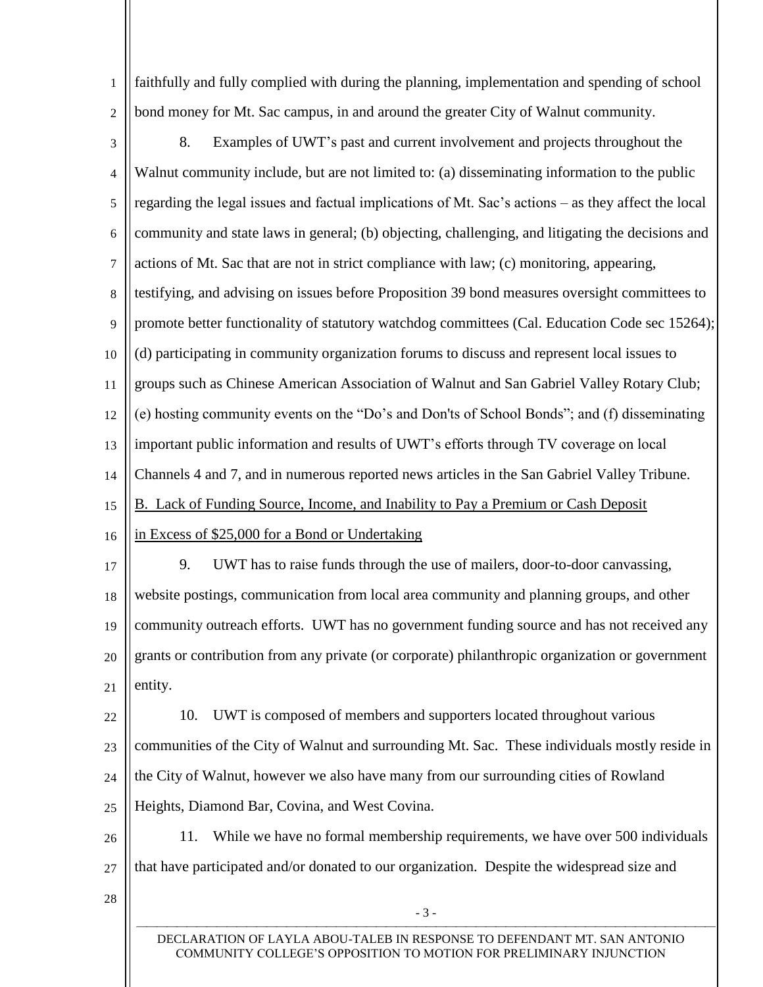faithfully and fully complied with during the planning, implementation and spending of school bond money for Mt. Sac campus, in and around the greater City of Walnut community.

 $\overline{2}$ 

1

3 4 5 6 7 8 9 10 11 12 13 14 15 16 17 18 19 20 21 22 23 24 25 26 27 8. Examples of UWT's past and current involvement and projects throughout the Walnut community include, but are not limited to: (a) disseminating information to the public regarding the legal issues and factual implications of Mt. Sac's actions – as they affect the local community and state laws in general; (b) objecting, challenging, and litigating the decisions and actions of Mt. Sac that are not in strict compliance with law; (c) monitoring, appearing, testifying, and advising on issues before Proposition 39 bond measures oversight committees to promote better functionality of statutory watchdog committees (Cal. Education Code sec 15264); (d) participating in community organization forums to discuss and represent local issues to groups such as Chinese American Association of Walnut and San Gabriel Valley Rotary Club; (e) hosting community events on the "Do's and Don'ts of School Bonds"; and (f) disseminating important public information and results of UWT's efforts through TV coverage on local Channels 4 and 7, and in numerous reported news articles in the San Gabriel Valley Tribune. B. Lack of Funding Source, Income, and Inability to Pay a Premium or Cash Deposit in Excess of \$25,000 for a Bond or Undertaking 9. UWT has to raise funds through the use of mailers, door-to-door canvassing, website postings, communication from local area community and planning groups, and other community outreach efforts. UWT has no government funding source and has not received any grants or contribution from any private (or corporate) philanthropic organization or government entity. 10. UWT is composed of members and supporters located throughout various communities of the City of Walnut and surrounding Mt. Sac. These individuals mostly reside in the City of Walnut, however we also have many from our surrounding cities of Rowland Heights, Diamond Bar, Covina, and West Covina. 11. While we have no formal membership requirements, we have over 500 individuals that have participated and/or donated to our organization. Despite the widespread size and

28

 DECLARATION OF LAYLA ABOU-TALEB IN RESPONSE TO DEFENDANT MT. SAN ANTONIO COMMUNITY COLLEGE'S OPPOSITION TO MOTION FOR PRELIMINARY INJUNCTION

- 3 -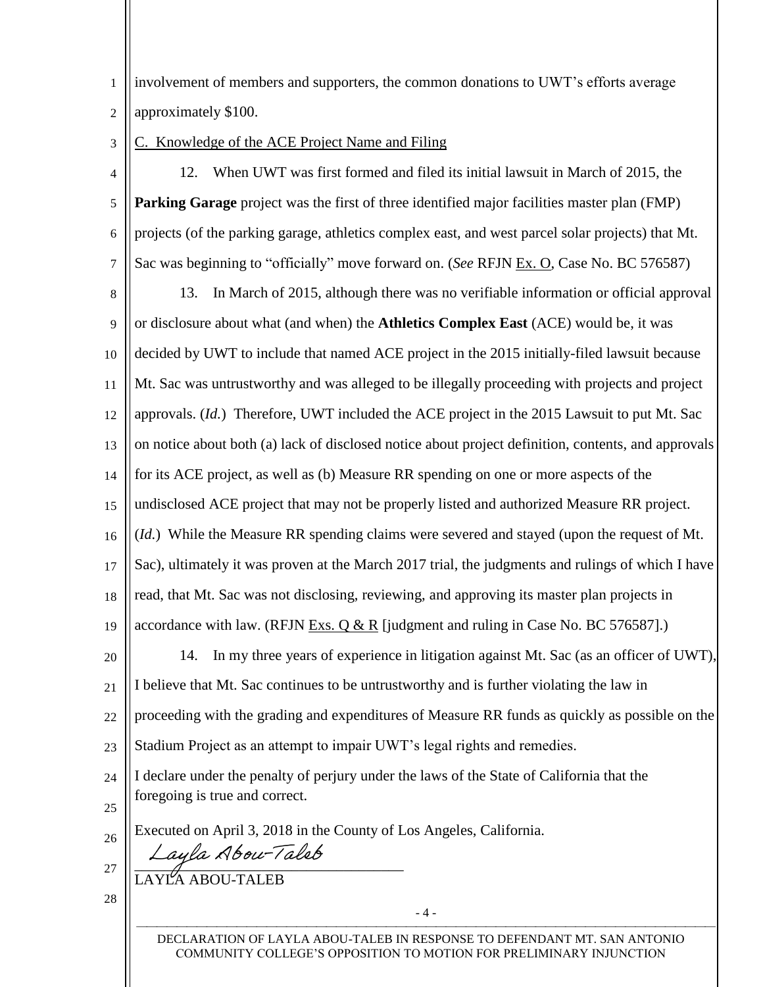| $\frac{1}{1}$ involvement of members and supporters, the common donations to UWT's efforts average |
|----------------------------------------------------------------------------------------------------|
| 2 $\vert$ approximately \$100.                                                                     |

3 . Knowledge of the ACE Project Name and Filing

4 5 6 7 12. When UWT was first formed and filed its initial lawsuit in March of 2015, the **Parking Garage** project was the first of three identified major facilities master plan (FMP) projects (of the parking garage, athletics complex east, and west parcel solar projects) that Mt. Sac was beginning to "officially" move forward on. (*See* RFJN Ex. O, Case No. BC 576587)

8 9 10 11 12 13 14 15 16 17 18 19 13. In March of 2015, although there was no verifiable information or official approval or disclosure about what (and when) the **Athletics Complex East** (ACE) would be, it was decided by UWT to include that named ACE project in the 2015 initially-filed lawsuit because Mt. Sac was untrustworthy and was alleged to be illegally proceeding with projects and project approvals. (*Id.*) Therefore, UWT included the ACE project in the 2015 Lawsuit to put Mt. Sac on notice about both (a) lack of disclosed notice about project definition, contents, and approvals for its ACE project, as well as (b) Measure RR spending on one or more aspects of the undisclosed ACE project that may not be properly listed and authorized Measure RR project. (*Id.*) While the Measure RR spending claims were severed and stayed (upon the request of Mt. Sac), ultimately it was proven at the March 2017 trial, the judgments and rulings of which I have read, that Mt. Sac was not disclosing, reviewing, and approving its master plan projects in accordance with law. (RFJN Exs. Q & R [judgment and ruling in Case No. BC 576587].)

20 21 22 23 14. In my three years of experience in litigation against Mt. Sac (as an officer of UWT), I believe that Mt. Sac continues to be untrustworthy and is further violating the law in proceeding with the grading and expenditures of Measure RR funds as quickly as possible on the Stadium Project as an attempt to impair UWT's legal rights and remedies. I declare under the penalty of perjury under the laws of the State of California that the

24 foregoing is true and correct.

25 26

Executed on April 3, 2018 in the County of Los Angeles, California.

 $\mathbb{Z}_2 \parallel \text{Layla}$  Abou-Taleb

LAYLA ABOU-TALEB

27 28

 DECLARATION OF LAYLA ABOU-TALEB IN RESPONSE TO DEFENDANT MT. SAN ANTONIO COMMUNITY COLLEGE'S OPPOSITION TO MOTION FOR PRELIMINARY INJUNCTION

- 4 -